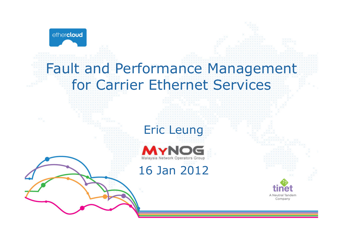

# Fault and Performance Management for Carrier Ethernet Services





## 16 Jan 2012

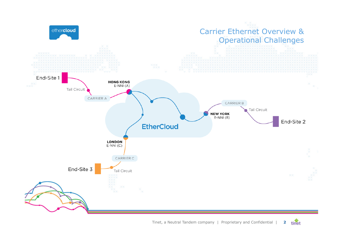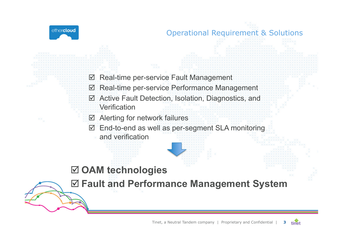ethercloud

#### Operational Requirement & Solutions

- $\boxtimes$  Real-time per-service Fault Management  $\boxtimes$  Real-time per-service Performance Management Active Fault Detection, Isolation, Diagnostics, and **Verification**
- Alerting for network failures
- End-to-end as well as per-segment SLA monitoring
	- and verification

### **OAM technologies**

**Fault and Performance Management System**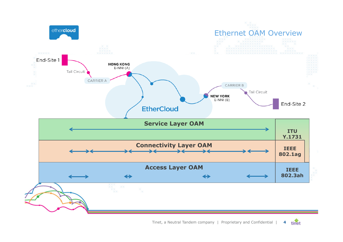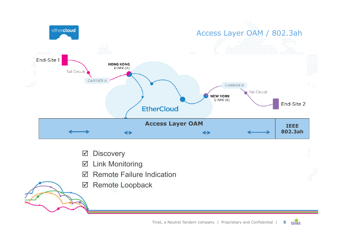

- **Ø** Discovery
- $\boxtimes$  Link Monitoring
- **Ø** Remote Failure Indication
- **Ø** Remote Loopback



tinet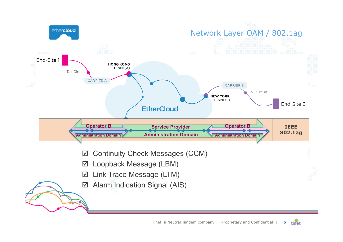

tinet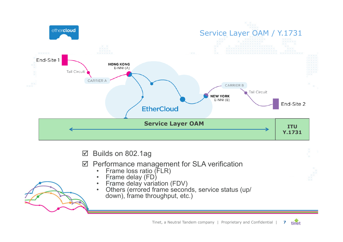

Builds on 802.1ag

- ⊠ Performance management for SLA verification
	- Frame loss ratio (FLR) Frame delay (FD)
	- -
	- Frame delay variation (FDV) Others (errored frame seconds, service status (up/ down), frame throughput, etc.)

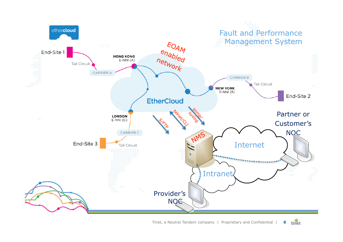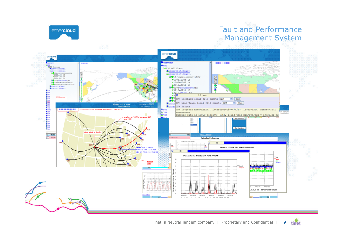

#### Fault and Performance Management System

tinet

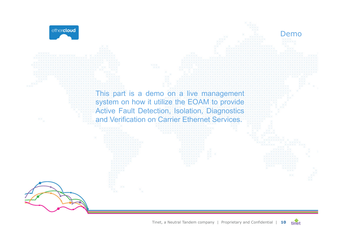

This part is a demo on a live management system on how it utilize the EOAM to provide Active Fault Detection, Isolation, Diagnostics and Verification on Carrier Ethernet Services.

> Tinet, a Neutral Tandem company | Proprietary and Confidential | **10**  tinet

Demo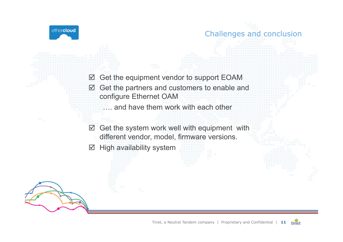



- .... and have them work with each other
- $\boxtimes$  Get the system work well with equipment with different vendor, model, firmware versions.
- $\boxtimes$  High availability system